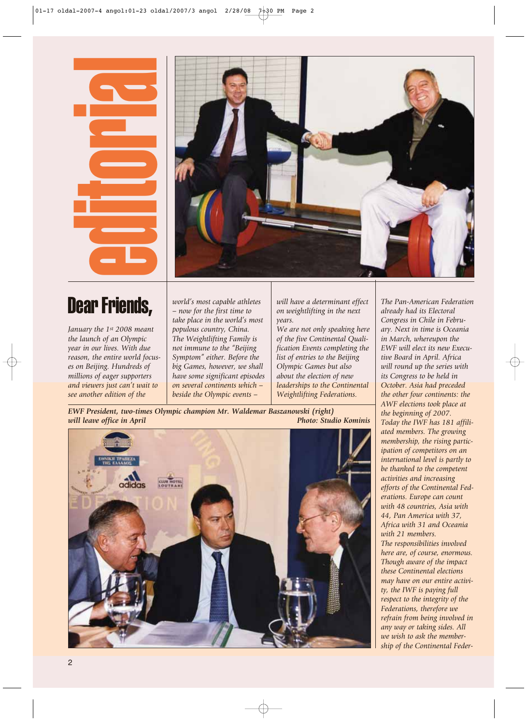

## Dear Friends,

*January the 1st 2008 meant the launch of an Olympic year in our lives. With due reason, the entire world focuses on Beijing. Hundreds of millions of eager supporters and viewers just can't wait to see another edition of the*

*world's most capable athletes – now for the first time to take place in the world's most populous country, China. The Weightlifting Family is not immune to the "Beijing Symptom" either. Before the big Games, however, we shall have some significant episodes on several continents which – beside the Olympic events –*

*will have a determinant effect on weightlifting in the next years.*

*We are not only speaking here of the five Continental Qualification Events completing the list of entries to the Beijing Olympic Games but also about the election of new leaderships to the Continental Weightlifting Federations.*

*EWF President, two-times Olympic champion Mr. Waldemar Baszanowski (right)* 



*The Pan-American Federation already had its Electoral Congress in Chile in February. Next in time is Oceania in March, whereupon the EWF will elect its new Executive Board in April. Africa will round up the series with its Congress to be held in October. Asia had preceded the other four continents: the AWF elections took place at the beginning of 2007. Today the IWF has 181 affiliated members. The growing membership, the rising participation of competitors on an international level is partly to be thanked to the competent activities and increasing efforts of the Continental Federations. Europe can count with 48 countries, Asia with 44, Pan America with 37, Africa with 31 and Oceania with 21 members. The responsibilities involved here are, of course, enormous. Though aware of the impact these Continental elections may have on our entire activity, the IWF is paying full respect to the integrity of the Federations, therefore we refrain from being involved in any way or taking sides. All we wish to ask the membership of the Continental Feder-*